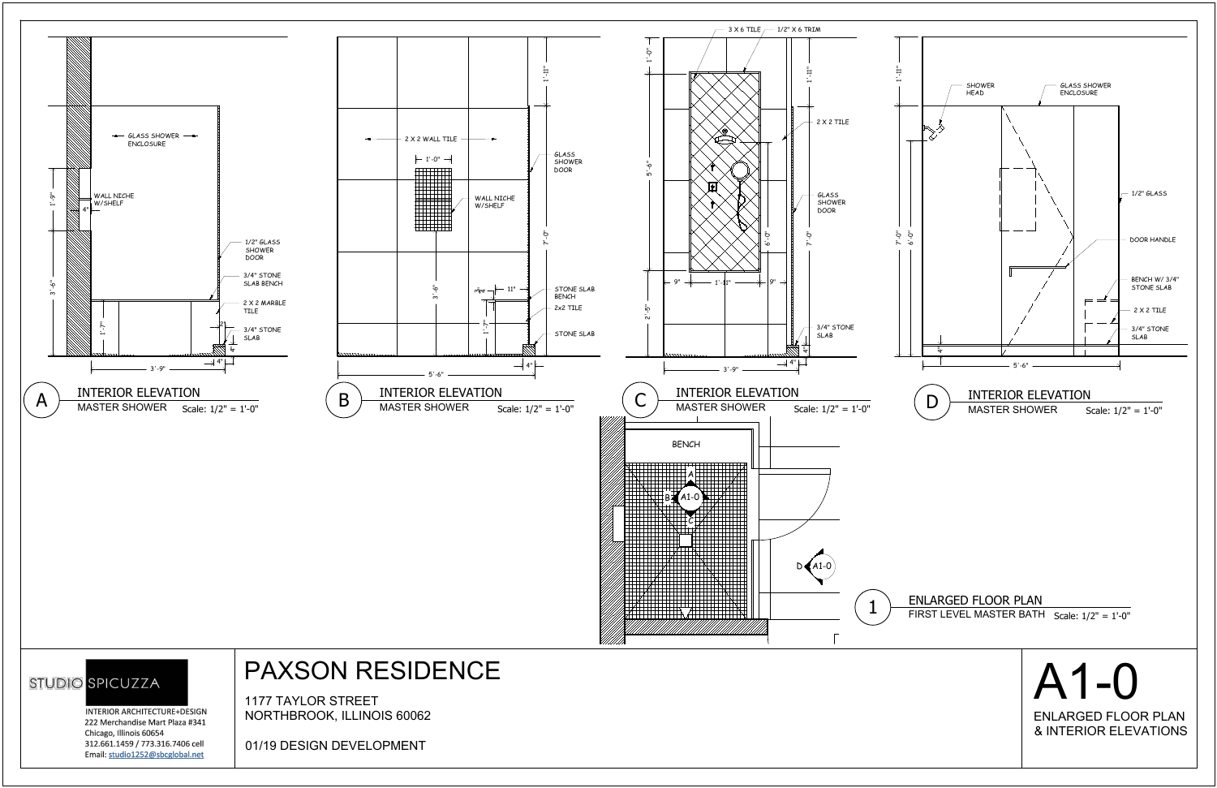